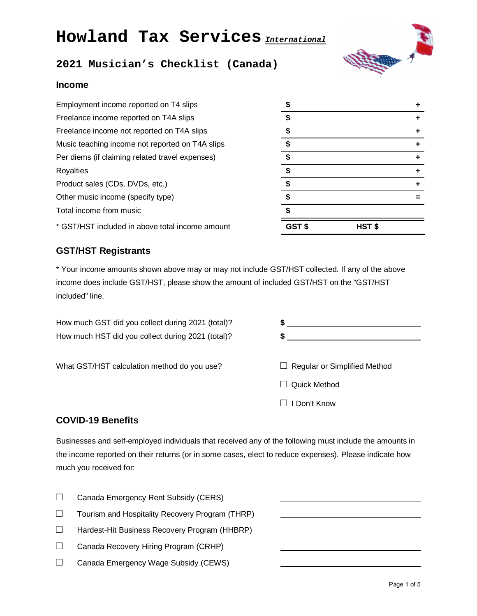# **Howland Tax Services** *International*



## **2021 Musician's Checklist (Canada)**

### **Income**

| Employment income reported on T4 slips          | \$     |        |   |
|-------------------------------------------------|--------|--------|---|
| Freelance income reported on T4A slips          |        |        | ÷ |
| Freelance income not reported on T4A slips      |        |        | ÷ |
| Music teaching income not reported on T4A slips |        |        | ÷ |
| Per diems (if claiming related travel expenses) |        |        |   |
| Royalties                                       |        |        | ÷ |
| Product sales (CDs, DVDs, etc.)                 | \$     |        | ÷ |
| Other music income (specify type)               |        |        |   |
| Total income from music                         |        |        |   |
| * GST/HST included in above total income amount | GST \$ | HST \$ |   |

| \$    | $\ddot{}$ |
|-------|-----------|
| \$    | ÷         |
| \$    | +         |
| \$    | ٠         |
| \$    | ÷         |
| \$    | Ŧ.        |
| \$    | +         |
| \$    |           |
| \$    |           |
| GST\$ | HST\$     |

## **GST/HST Registrants**

\* Your income amounts shown above may or may not include GST/HST collected. If any of the above income does include GST/HST, please show the amount of included GST/HST on the "GST/HST included" line.

How much GST did you collect during 2021 (total)? **\$**  How much HST did you collect during 2021 (total)? **\$** 

What GST/HST calculation method do you use?  $\Box$  Regular or Simplified Method □ Quick Method □ I Don't Know

## **COVID-19 Benefits**

Businesses and self-employed individuals that received any of the following must include the amounts in the income reported on their returns (or in some cases, elect to reduce expenses). Please indicate how much you received for:

|        | Canada Emergency Rent Subsidy (CERS)            |  |
|--------|-------------------------------------------------|--|
|        | Tourism and Hospitality Recovery Program (THRP) |  |
| $\Box$ | Hardest-Hit Business Recovery Program (HHBRP)   |  |
|        | Canada Recovery Hiring Program (CRHP)           |  |
|        | Canada Emergency Wage Subsidy (CEWS)            |  |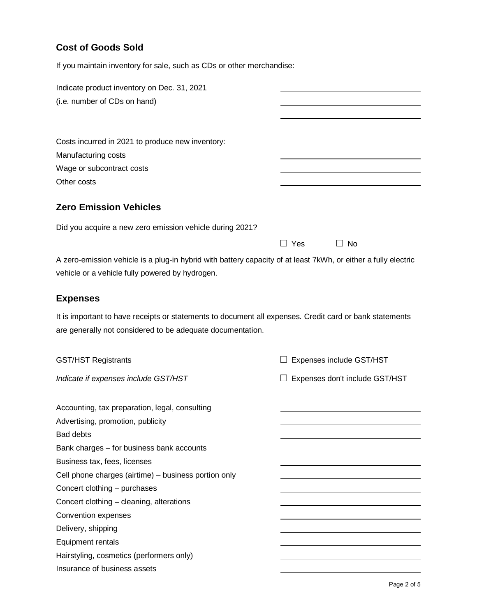## **Cost of Goods Sold**

If you maintain inventory for sale, such as CDs or other merchandise:

| (i.e. number of CDs on hand)<br>Costs incurred in 2021 to produce new inventory:<br>Manufacturing costs<br>Wage or subcontract costs<br>Other costs<br><b>Zero Emission Vehicles</b> |
|--------------------------------------------------------------------------------------------------------------------------------------------------------------------------------------|
|                                                                                                                                                                                      |
|                                                                                                                                                                                      |
|                                                                                                                                                                                      |
|                                                                                                                                                                                      |
|                                                                                                                                                                                      |
|                                                                                                                                                                                      |
|                                                                                                                                                                                      |
|                                                                                                                                                                                      |
|                                                                                                                                                                                      |
| Did you acquire a new zero emission vehicle during 2021?                                                                                                                             |
| $\Box$ Yes<br>$\Box$ No                                                                                                                                                              |
|                                                                                                                                                                                      |
| A zero-emission vehicle is a plug-in hybrid with battery capacity of at least 7kWh, or either a fully electric                                                                       |
| vehicle or a vehicle fully powered by hydrogen.                                                                                                                                      |
| <b>Expenses</b>                                                                                                                                                                      |
| It is important to have receipts or statements to document all expenses. Credit card or bank statements                                                                              |
| are generally not considered to be adequate documentation.                                                                                                                           |
|                                                                                                                                                                                      |
| <b>GST/HST Registrants</b><br>Expenses include GST/HST                                                                                                                               |
| Indicate if expenses include GST/HST<br>Expenses don't include GST/HST                                                                                                               |
| Accounting, tax preparation, legal, consulting                                                                                                                                       |
| Advertising, promotion, publicity                                                                                                                                                    |
| <b>Bad debts</b>                                                                                                                                                                     |
| Bank charges - for business bank accounts                                                                                                                                            |
| Business tax, fees, licenses                                                                                                                                                         |
| Cell phone charges (airtime) - business portion only                                                                                                                                 |
|                                                                                                                                                                                      |
|                                                                                                                                                                                      |
| Concert clothing - purchases                                                                                                                                                         |
| Concert clothing - cleaning, alterations                                                                                                                                             |
| Convention expenses                                                                                                                                                                  |
| Delivery, shipping                                                                                                                                                                   |
| Equipment rentals<br>Hairstyling, cosmetics (performers only)                                                                                                                        |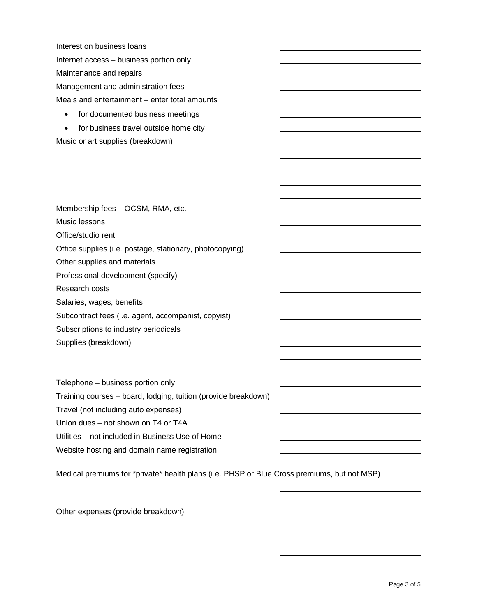Interest on business loans Internet access – business portion only Maintenance and repairs Management and administration fees Meals and entertainment – enter total amounts

- for documented business meetings
- for business travel outside home city

Music or art supplies (breakdown)

Membership fees – OCSM, RMA, etc. Music lessons Office/studio rent Office supplies (i.e. postage, stationary, photocopying) Other supplies and materials Professional development (specify) Research costs Salaries, wages, benefits Subcontract fees (i.e. agent, accompanist, copyist) Subscriptions to industry periodicals Supplies (breakdown)

Telephone – business portion only Training courses – board, lodging, tuition (provide breakdown) Travel (not including auto expenses) Union dues – not shown on T4 or T4A Utilities – not included in Business Use of Home Website hosting and domain name registration

Medical premiums for \*private\* health plans (i.e. PHSP or Blue Cross premiums, but not MSP)

Other expenses (provide breakdown)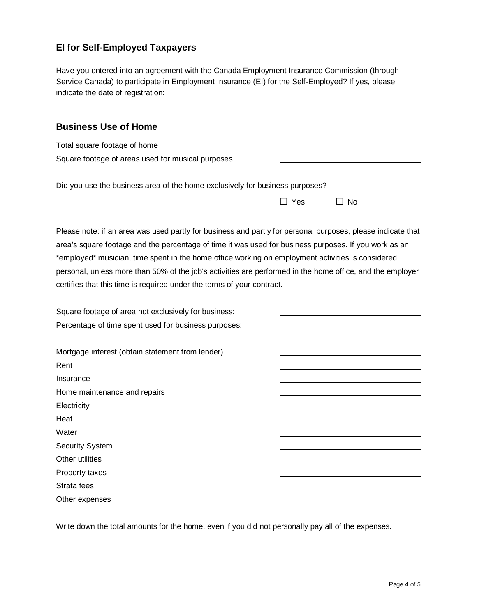## **EI for Self-Employed Taxpayers**

Have you entered into an agreement with the Canada Employment Insurance Commission (through Service Canada) to participate in Employment Insurance (EI) for the Self-Employed? If yes, please indicate the date of registration:

### **Business Use of Home**

| Total square footage of home                      |  |
|---------------------------------------------------|--|
| Square footage of areas used for musical purposes |  |

|  |  | Did you use the business area of the home exclusively for business purposes? |  |
|--|--|------------------------------------------------------------------------------|--|
|  |  |                                                                              |  |

|  | $\Box$ Yes $\Box$ No |  |
|--|----------------------|--|
|  |                      |  |

Please note: if an area was used partly for business and partly for personal purposes, please indicate that area's square footage and the percentage of time it was used for business purposes. If you work as an \*employed\* musician, time spent in the home office working on employment activities is considered personal, unless more than 50% of the job's activities are performed in the home office, and the employer certifies that this time is required under the terms of your contract.

| Square footage of area not exclusively for business: |  |
|------------------------------------------------------|--|
| Percentage of time spent used for business purposes: |  |
|                                                      |  |
| Mortgage interest (obtain statement from lender)     |  |
| Rent                                                 |  |
| Insurance                                            |  |
| Home maintenance and repairs                         |  |
| Electricity                                          |  |
| Heat                                                 |  |
| Water                                                |  |
| <b>Security System</b>                               |  |
| Other utilities                                      |  |
| Property taxes                                       |  |
| Strata fees                                          |  |
| Other expenses                                       |  |
|                                                      |  |

Write down the total amounts for the home, even if you did not personally pay all of the expenses.